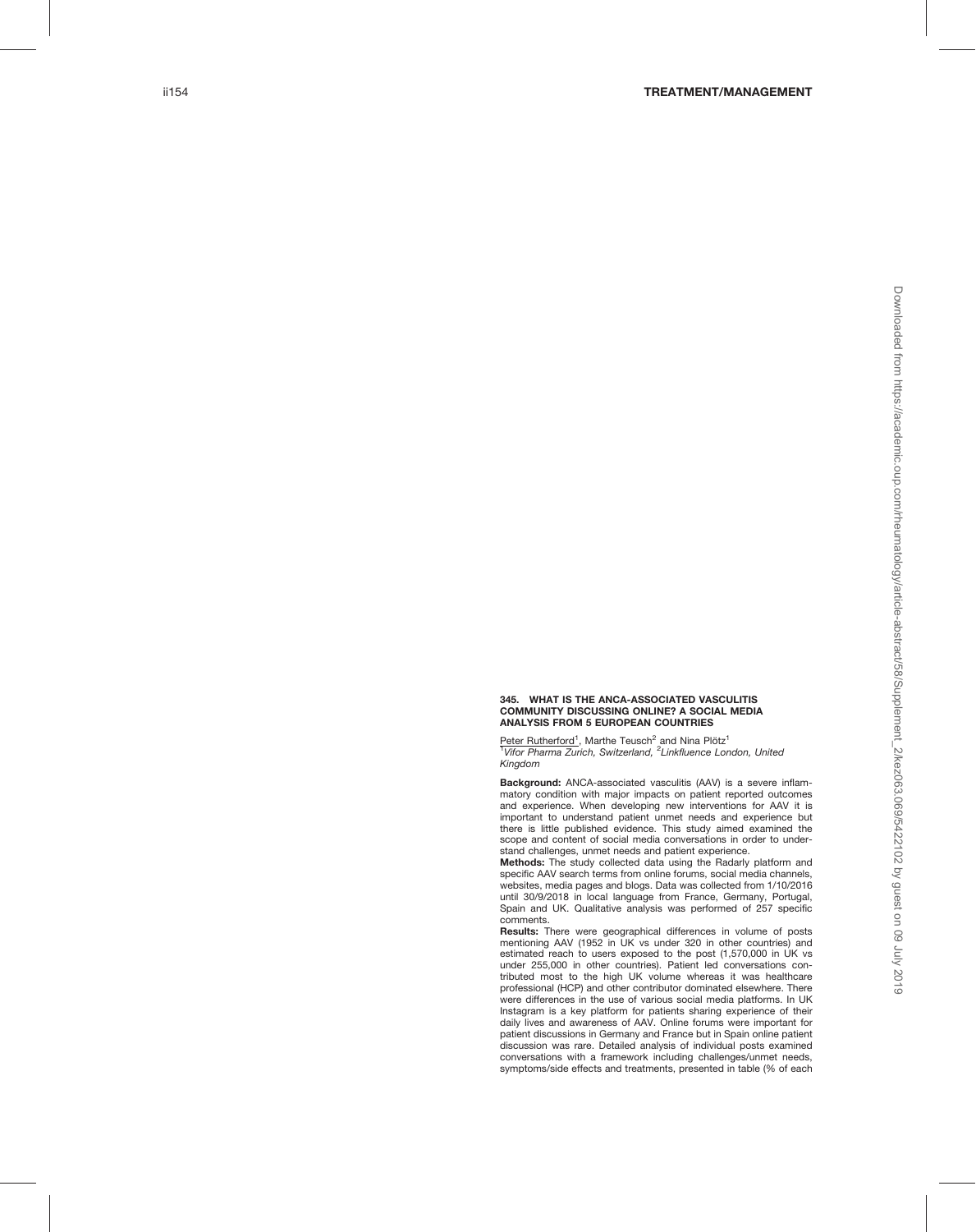## 345. WHAT IS THE ANCA-ASSOCIATED VASCULITIS COMMUNITY DISCUSSING ONLINE? A SOCIAL MEDIA ANALYSIS FROM 5 EUROPEAN COUNTRIES

Peter Rutherford<sup>1</sup>, Marthe Teusch<sup>2</sup> and Nina Plötz<sup>1</sup> <sup>1</sup>Vifor Pharma Zurich, Switzerland, <sup>2</sup>Linkfluence London, United Kingdom

Background: ANCA-associated vasculitis (AAV) is a severe inflammatory condition with major impacts on patient reported outcomes and experience. When developing new interventions for AAV it is important to understand patient unmet needs and experience but there is little published evidence. This study aimed examined the scope and content of social media conversations in order to understand challenges, unmet needs and patient experience.

Methods: The study collected data using the Radarly platform and specific AAV search terms from online forums, social media channels, websites, media pages and blogs. Data was collected from 1/10/2016 until 30/9/2018 in local language from France, Germany, Portugal, Spain and UK. Qualitative analysis was performed of 257 specific comments.

Results: There were geographical differences in volume of posts mentioning AAV (1952 in UK vs under 320 in other countries) and estimated reach to users exposed to the post (1,570,000 in UK vs under 255,000 in other countries). Patient led conversations contributed most to the high UK volume whereas it was healthcare professional (HCP) and other contributor dominated elsewhere. There were differences in the use of various social media platforms. In UK Instagram is a key platform for patients sharing experience of their daily lives and awareness of AAV. Online forums were important for patient discussions in Germany and France but in Spain online patient discussion was rare. Detailed analysis of individual posts examined conversations with a framework including challenges/unmet needs, symptoms/side effects and treatments, presented in table (% of each